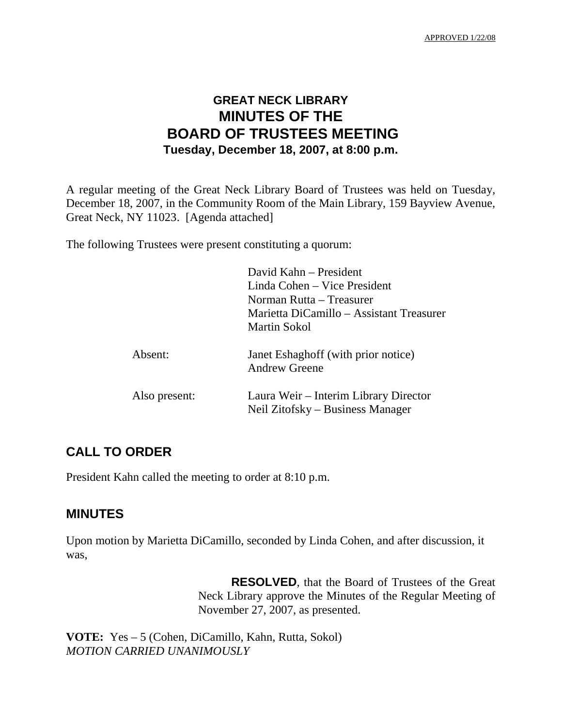APPROVED 1/22/08

# **GREAT NECK LIBRARY MINUTES OF THE BOARD OF TRUSTEES MEETING Tuesday, December 18, 2007, at 8:00 p.m.**

A regular meeting of the Great Neck Library Board of Trustees was held on Tuesday, December 18, 2007, in the Community Room of the Main Library, 159 Bayview Avenue, Great Neck, NY 11023. [Agenda attached]

The following Trustees were present constituting a quorum:

|               | David Kahn – President<br>Linda Cohen – Vice President<br>Norman Rutta – Treasurer<br>Marietta DiCamillo – Assistant Treasurer<br><b>Martin Sokol</b> |
|---------------|-------------------------------------------------------------------------------------------------------------------------------------------------------|
| Absent:       | Janet Eshaghoff (with prior notice)<br><b>Andrew Greene</b>                                                                                           |
| Also present: | Laura Weir – Interim Library Director<br>Neil Zitofsky – Business Manager                                                                             |

# **CALL TO ORDER**

President Kahn called the meeting to order at 8:10 p.m.

# **MINUTES**

Upon motion by Marietta DiCamillo, seconded by Linda Cohen, and after discussion, it was,

> **RESOLVED**, that the Board of Trustees of the Great Neck Library approve the Minutes of the Regular Meeting of November 27, 2007, as presented.

**VOTE:** Yes – 5 (Cohen, DiCamillo, Kahn, Rutta, Sokol) *MOTION CARRIED UNANIMOUSLY*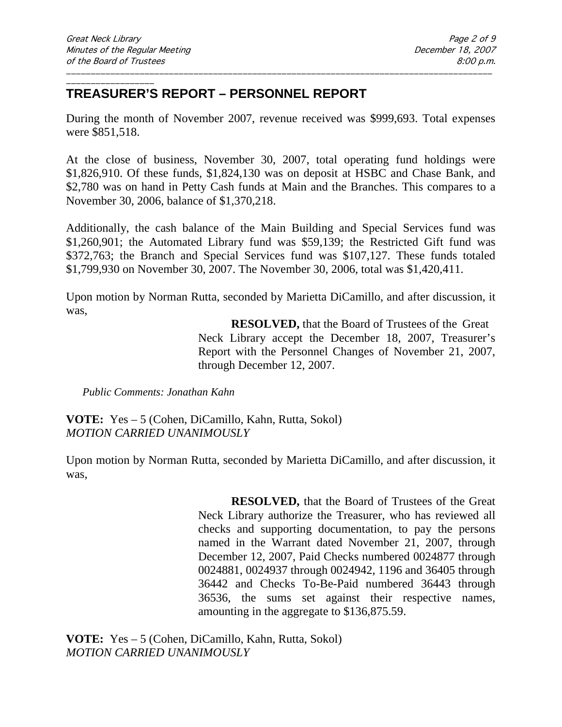#### \_\_\_\_\_\_\_\_\_\_\_\_\_\_\_\_\_\_ **TREASURER'S REPORT – PERSONNEL REPORT**

During the month of November 2007, revenue received was \$999,693. Total expenses were \$851,518.

\_\_\_\_\_\_\_\_\_\_\_\_\_\_\_\_\_\_\_\_\_\_\_\_\_\_\_\_\_\_\_\_\_\_\_\_\_\_\_\_\_\_\_\_\_\_\_\_\_\_\_\_\_\_\_\_\_\_\_\_\_\_\_\_\_\_\_\_\_\_\_\_\_\_\_\_\_\_\_\_\_\_\_\_\_\_\_

At the close of business, November 30, 2007, total operating fund holdings were \$1,826,910. Of these funds, \$1,824,130 was on deposit at HSBC and Chase Bank, and \$2,780 was on hand in Petty Cash funds at Main and the Branches. This compares to a November 30, 2006, balance of \$1,370,218.

Additionally, the cash balance of the Main Building and Special Services fund was \$1,260,901; the Automated Library fund was \$59,139; the Restricted Gift fund was \$372,763; the Branch and Special Services fund was \$107,127. These funds totaled \$1,799,930 on November 30, 2007. The November 30, 2006, total was \$1,420,411.

Upon motion by Norman Rutta, seconded by Marietta DiCamillo, and after discussion, it was,

> **RESOLVED,** that the Board of Trustees of the Great Neck Library accept the December 18, 2007, Treasurer's Report with the Personnel Changes of November 21, 2007, through December 12, 2007.

*Public Comments: Jonathan Kahn*

**VOTE:** Yes – 5 (Cohen, DiCamillo, Kahn, Rutta, Sokol) *MOTION CARRIED UNANIMOUSLY*

Upon motion by Norman Rutta, seconded by Marietta DiCamillo, and after discussion, it was,

> **RESOLVED,** that the Board of Trustees of the Great Neck Library authorize the Treasurer, who has reviewed all checks and supporting documentation, to pay the persons named in the Warrant dated November 21, 2007, through December 12, 2007, Paid Checks numbered 0024877 through 0024881, 0024937 through 0024942, 1196 and 36405 through 36442 and Checks To-Be-Paid numbered 36443 through 36536, the sums set against their respective names, amounting in the aggregate to \$136,875.59.

**VOTE:** Yes – 5 (Cohen, DiCamillo, Kahn, Rutta, Sokol) *MOTION CARRIED UNANIMOUSLY*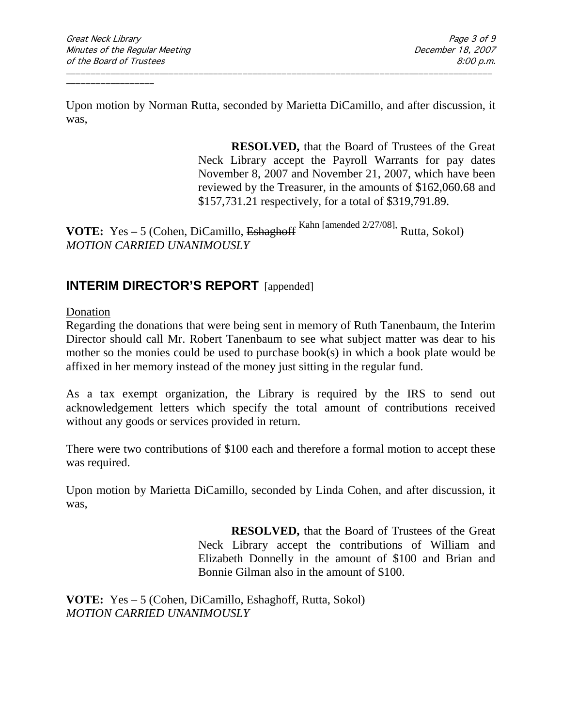Upon motion by Norman Rutta, seconded by Marietta DiCamillo, and after discussion, it was,

\_\_\_\_\_\_\_\_\_\_\_\_\_\_\_\_\_\_\_\_\_\_\_\_\_\_\_\_\_\_\_\_\_\_\_\_\_\_\_\_\_\_\_\_\_\_\_\_\_\_\_\_\_\_\_\_\_\_\_\_\_\_\_\_\_\_\_\_\_\_\_\_\_\_\_\_\_\_\_\_\_\_\_\_\_\_\_

**RESOLVED,** that the Board of Trustees of the Great Neck Library accept the Payroll Warrants for pay dates November 8, 2007 and November 21, 2007, which have been reviewed by the Treasurer, in the amounts of \$162,060.68 and \$157,731.21 respectively, for a total of \$319,791.89.

**VOTE:** Yes – 5 (Cohen, DiCamillo, Eshaghoff <sup>Kahn [amended 2/27/08],</sup> Rutta, Sokol) *MOTION CARRIED UNANIMOUSLY*

# **INTERIM DIRECTOR'S REPORT** [appended]

Donation

Regarding the donations that were being sent in memory of Ruth Tanenbaum, the Interim Director should call Mr. Robert Tanenbaum to see what subject matter was dear to his mother so the monies could be used to purchase book(s) in which a book plate would be affixed in her memory instead of the money just sitting in the regular fund.

As a tax exempt organization, the Library is required by the IRS to send out acknowledgement letters which specify the total amount of contributions received without any goods or services provided in return.

There were two contributions of \$100 each and therefore a formal motion to accept these was required.

Upon motion by Marietta DiCamillo, seconded by Linda Cohen, and after discussion, it was,

> **RESOLVED,** that the Board of Trustees of the Great Neck Library accept the contributions of William and Elizabeth Donnelly in the amount of \$100 and Brian and Bonnie Gilman also in the amount of \$100.

**VOTE:** Yes – 5 (Cohen, DiCamillo, Eshaghoff, Rutta, Sokol) *MOTION CARRIED UNANIMOUSLY*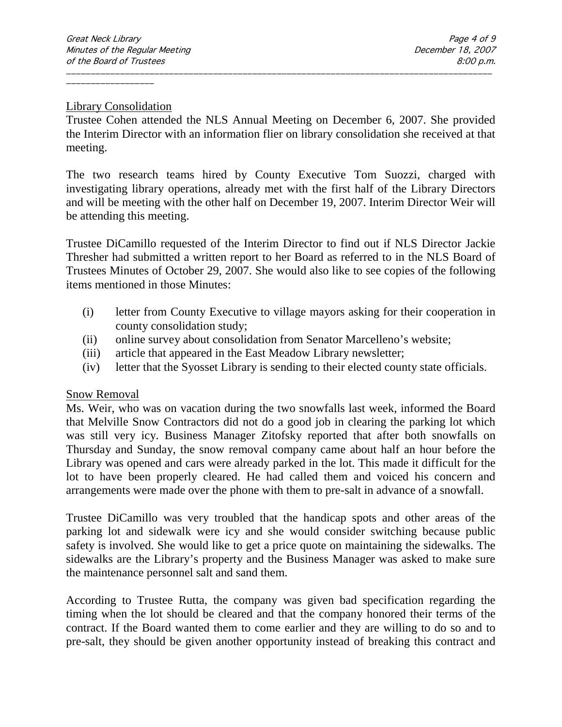#### Library Consolidation

\_\_\_\_\_\_\_\_\_\_\_\_\_\_\_\_\_\_

Trustee Cohen attended the NLS Annual Meeting on December 6, 2007. She provided the Interim Director with an information flier on library consolidation she received at that meeting.

\_\_\_\_\_\_\_\_\_\_\_\_\_\_\_\_\_\_\_\_\_\_\_\_\_\_\_\_\_\_\_\_\_\_\_\_\_\_\_\_\_\_\_\_\_\_\_\_\_\_\_\_\_\_\_\_\_\_\_\_\_\_\_\_\_\_\_\_\_\_\_\_\_\_\_\_\_\_\_\_\_\_\_\_\_\_\_

The two research teams hired by County Executive Tom Suozzi, charged with investigating library operations, already met with the first half of the Library Directors and will be meeting with the other half on December 19, 2007. Interim Director Weir will be attending this meeting.

Trustee DiCamillo requested of the Interim Director to find out if NLS Director Jackie Thresher had submitted a written report to her Board as referred to in the NLS Board of Trustees Minutes of October 29, 2007. She would also like to see copies of the following items mentioned in those Minutes:

- (i) letter from County Executive to village mayors asking for their cooperation in county consolidation study;
- (ii) online survey about consolidation from Senator Marcelleno's website;
- (iii) article that appeared in the East Meadow Library newsletter;
- (iv) letter that the Syosset Library is sending to their elected county state officials.

### Snow Removal

Ms. Weir, who was on vacation during the two snowfalls last week, informed the Board that Melville Snow Contractors did not do a good job in clearing the parking lot which was still very icy. Business Manager Zitofsky reported that after both snowfalls on Thursday and Sunday, the snow removal company came about half an hour before the Library was opened and cars were already parked in the lot. This made it difficult for the lot to have been properly cleared. He had called them and voiced his concern and arrangements were made over the phone with them to pre-salt in advance of a snowfall.

Trustee DiCamillo was very troubled that the handicap spots and other areas of the parking lot and sidewalk were icy and she would consider switching because public safety is involved. She would like to get a price quote on maintaining the sidewalks. The sidewalks are the Library's property and the Business Manager was asked to make sure the maintenance personnel salt and sand them.

According to Trustee Rutta, the company was given bad specification regarding the timing when the lot should be cleared and that the company honored their terms of the contract. If the Board wanted them to come earlier and they are willing to do so and to pre-salt, they should be given another opportunity instead of breaking this contract and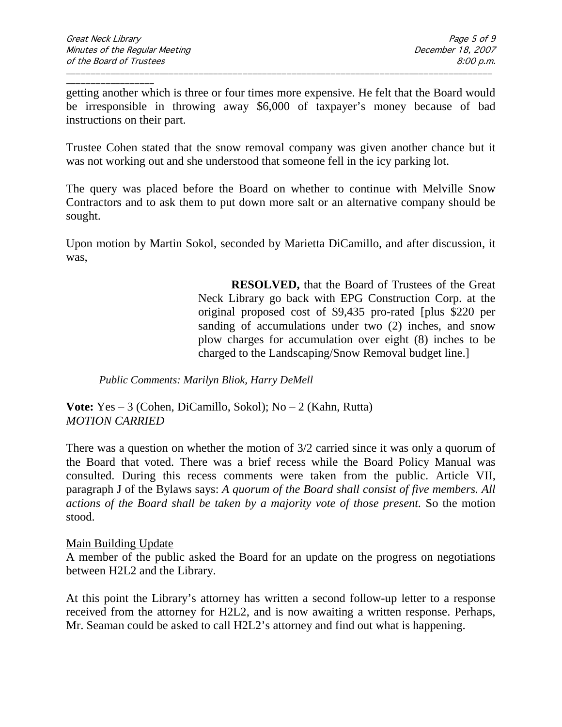\_\_\_\_\_\_\_\_\_\_\_\_\_\_\_\_\_\_ getting another which is three or four times more expensive. He felt that the Board would be irresponsible in throwing away \$6,000 of taxpayer's money because of bad instructions on their part.

\_\_\_\_\_\_\_\_\_\_\_\_\_\_\_\_\_\_\_\_\_\_\_\_\_\_\_\_\_\_\_\_\_\_\_\_\_\_\_\_\_\_\_\_\_\_\_\_\_\_\_\_\_\_\_\_\_\_\_\_\_\_\_\_\_\_\_\_\_\_\_\_\_\_\_\_\_\_\_\_\_\_\_\_\_\_\_

Trustee Cohen stated that the snow removal company was given another chance but it was not working out and she understood that someone fell in the icy parking lot.

The query was placed before the Board on whether to continue with Melville Snow Contractors and to ask them to put down more salt or an alternative company should be sought.

Upon motion by Martin Sokol, seconded by Marietta DiCamillo, and after discussion, it was,

> **RESOLVED,** that the Board of Trustees of the Great Neck Library go back with EPG Construction Corp. at the original proposed cost of \$9,435 pro-rated [plus \$220 per sanding of accumulations under two  $(2)$  inches, and snow plow charges for accumulation over eight (8) inches to be charged to the Landscaping/Snow Removal budget line.]

*Public Comments: Marilyn Bliok, Harry DeMell*

**Vote:** Yes – 3 (Cohen, DiCamillo, Sokol); No – 2 (Kahn, Rutta) *MOTION CARRIED*

There was a question on whether the motion of 3/2 carried since it was only a quorum of the Board that voted. There was a brief recess while the Board Policy Manual was consulted. During this recess comments were taken from the public. Article VII, paragraph J of the Bylaws says: *A quorum of the Board shall consist of five members. All actions of the Board shall be taken by a majority vote of those present.* So the motion stood.

### Main Building Update

A member of the public asked the Board for an update on the progress on negotiations between H2L2 and the Library.

At this point the Library's attorney has written a second follow-up letter to a response received from the attorney for H2L2, and is now awaiting a written response. Perhaps, Mr. Seaman could be asked to call H2L2's attorney and find out what is happening.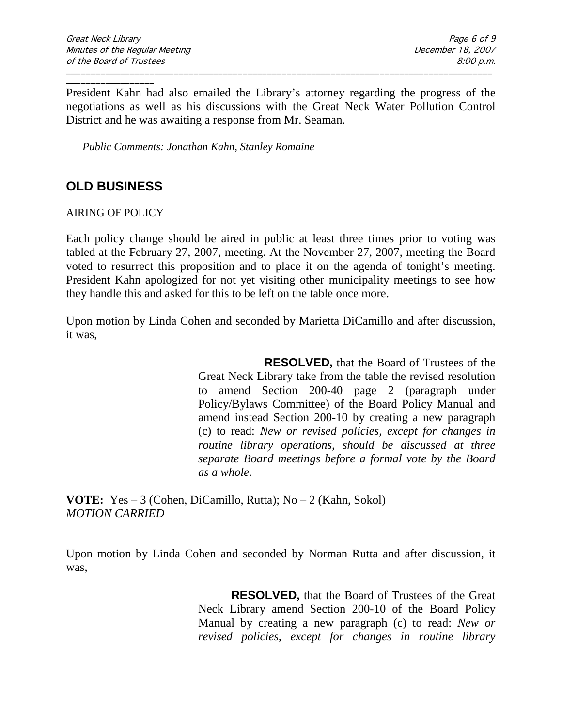\_\_\_\_\_\_\_\_\_\_\_\_\_\_\_\_\_\_ President Kahn had also emailed the Library's attorney regarding the progress of the negotiations as well as his discussions with the Great Neck Water Pollution Control District and he was awaiting a response from Mr. Seaman.

\_\_\_\_\_\_\_\_\_\_\_\_\_\_\_\_\_\_\_\_\_\_\_\_\_\_\_\_\_\_\_\_\_\_\_\_\_\_\_\_\_\_\_\_\_\_\_\_\_\_\_\_\_\_\_\_\_\_\_\_\_\_\_\_\_\_\_\_\_\_\_\_\_\_\_\_\_\_\_\_\_\_\_\_\_\_\_

*Public Comments: Jonathan Kahn, Stanley Romaine*

# **OLD BUSINESS**

AIRING OF POLICY

Each policy change should be aired in public at least three times prior to voting was tabled at the February 27, 2007, meeting. At the November 27, 2007, meeting the Board voted to resurrect this proposition and to place it on the agenda of tonight's meeting. President Kahn apologized for not yet visiting other municipality meetings to see how they handle this and asked for this to be left on the table once more.

Upon motion by Linda Cohen and seconded by Marietta DiCamillo and after discussion, it was,

> **RESOLVED,** that the Board of Trustees of the Great Neck Library take from the table the revised resolution to amend Section 200-40 page 2 (paragraph under Policy/Bylaws Committee) of the Board Policy Manual and amend instead Section 200-10 by creating a new paragraph (c) to read: *New or revised policies, except for changes in routine library operations, should be discussed at three separate Board meetings before a formal vote by the Board as a whole.*

**VOTE:** Yes – 3 (Cohen, DiCamillo, Rutta); No – 2 (Kahn, Sokol) *MOTION CARRIED* 

Upon motion by Linda Cohen and seconded by Norman Rutta and after discussion, it was,

> **RESOLVED,** that the Board of Trustees of the Great Neck Library amend Section 200-10 of the Board Policy Manual by creating a new paragraph (c) to read: *New or revised policies, except for changes in routine library*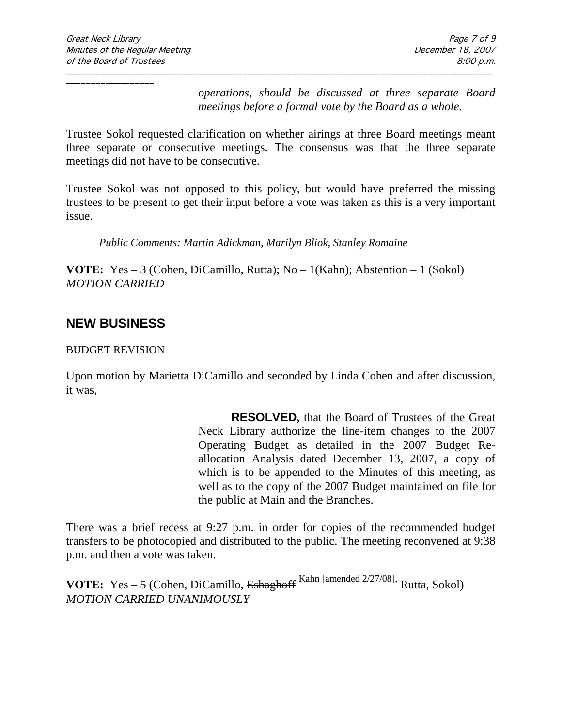*operations, should be discussed at three separate Board meetings before a formal vote by the Board as a whole.*

Trustee Sokol requested clarification on whether airings at three Board meetings meant three separate or consecutive meetings. The consensus was that the three separate meetings did not have to be consecutive.

\_\_\_\_\_\_\_\_\_\_\_\_\_\_\_\_\_\_\_\_\_\_\_\_\_\_\_\_\_\_\_\_\_\_\_\_\_\_\_\_\_\_\_\_\_\_\_\_\_\_\_\_\_\_\_\_\_\_\_\_\_\_\_\_\_\_\_\_\_\_\_\_\_\_\_\_\_\_\_\_\_\_\_\_\_\_\_

Trustee Sokol was not opposed to this policy, but would have preferred the missing trustees to be present to get their input before a vote was taken as this is a very important issue.

*Public Comments: Martin Adickman, Marilyn Bliok, Stanley Romaine*

**VOTE:** Yes – 3 (Cohen, DiCamillo, Rutta); No – 1(Kahn); Abstention – 1 (Sokol) *MOTION CARRIED* 

# **NEW BUSINESS**

#### BUDGET REVISION

Upon motion by Marietta DiCamillo and seconded by Linda Cohen and after discussion, it was,

> **RESOLVED,** that the Board of Trustees of the Great Neck Library authorize the line-item changes to the 2007 Operating Budget as detailed in the 2007 Budget Reallocation Analysis dated December 13, 2007, a copy of which is to be appended to the Minutes of this meeting, as well as to the copy of the 2007 Budget maintained on file for the public at Main and the Branches.

There was a brief recess at 9:27 p.m. in order for copies of the recommended budget transfers to be photocopied and distributed to the public. The meeting reconvened at 9:38 p.m. and then a vote was taken.

**VOTE:** Yes – 5 (Cohen, DiCamillo, Eshaghoff <sup>Kahn [amended 2/27/08],</sup> Rutta, Sokol) *MOTION CARRIED UNANIMOUSLY*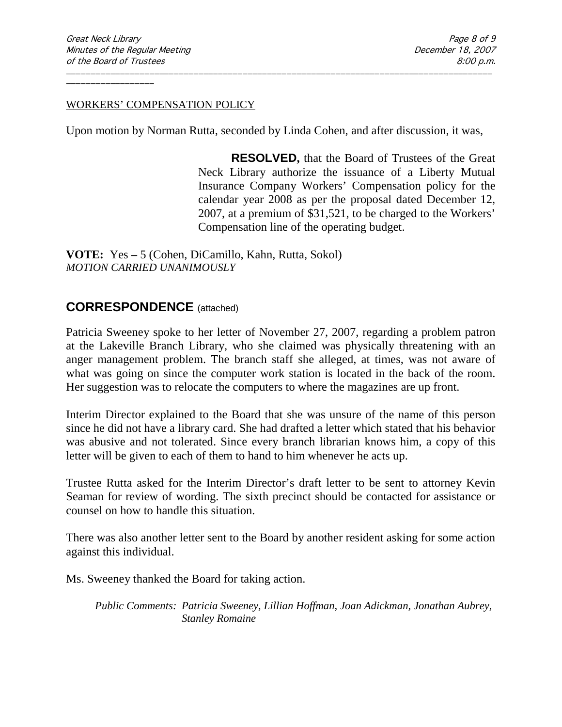#### WORKERS' COMPENSATION POLICY

Upon motion by Norman Rutta, seconded by Linda Cohen, and after discussion, it was,

\_\_\_\_\_\_\_\_\_\_\_\_\_\_\_\_\_\_\_\_\_\_\_\_\_\_\_\_\_\_\_\_\_\_\_\_\_\_\_\_\_\_\_\_\_\_\_\_\_\_\_\_\_\_\_\_\_\_\_\_\_\_\_\_\_\_\_\_\_\_\_\_\_\_\_\_\_\_\_\_\_\_\_\_\_\_\_

**RESOLVED,** that the Board of Trustees of the Great Neck Library authorize the issuance of a Liberty Mutual Insurance Company Workers' Compensation policy for the calendar year 2008 as per the proposal dated December 12, 2007, at a premium of \$31,521, to be charged to the Workers' Compensation line of the operating budget.

**VOTE:** Yes **–** 5 (Cohen, DiCamillo, Kahn, Rutta, Sokol) *MOTION CARRIED UNANIMOUSLY*

# **CORRESPONDENCE** (attached)

Patricia Sweeney spoke to her letter of November 27, 2007, regarding a problem patron at the Lakeville Branch Library, who she claimed was physically threatening with an anger management problem. The branch staff she alleged, at times, was not aware of what was going on since the computer work station is located in the back of the room. Her suggestion was to relocate the computers to where the magazines are up front.

Interim Director explained to the Board that she was unsure of the name of this person since he did not have a library card. She had drafted a letter which stated that his behavior was abusive and not tolerated. Since every branch librarian knows him, a copy of this letter will be given to each of them to hand to him whenever he acts up.

Trustee Rutta asked for the Interim Director's draft letter to be sent to attorney Kevin Seaman for review of wording. The sixth precinct should be contacted for assistance or counsel on how to handle this situation.

There was also another letter sent to the Board by another resident asking for some action against this individual.

Ms. Sweeney thanked the Board for taking action.

*Public Comments: Patricia Sweeney, Lillian Hoffman, Joan Adickman, Jonathan Aubrey, Stanley Romaine*